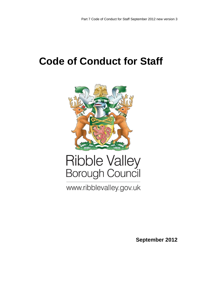# **Code of Conduct for Staff**



# Ribble Valley<br>Borough Council

www.ribblevalley.gov.uk

**September 2012**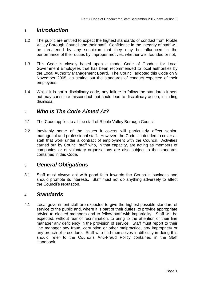#### <sup>1</sup> *Introduction*

- 1.2 The public are entitled to expect the highest standards of conduct from Ribble Valley Borough Council and their staff. Confidence in the integrity of staff will be threatened by any suspicion that they may be influenced in the performance of their duties by improper motives, whether well founded or not,
- 1.3 This Code is closely based upon a model Code of Conduct for Local Government Employees that has been recommended to local authorities by the Local Authority Management Board. The Council adopted this Code on 9 November 2005, as setting out the standards of conduct expected of their employees.
- 1.4 Whilst it is not a disciplinary code, any failure to follow the standards it sets out may constitute misconduct that could lead to disciplinary action, including dismissal.

### <sup>2</sup> *Who Is The Code Aimed At?*

- 2.1 The Code applies to all the staff of Ribble Valley Borough Council.
- 2.2 Inevitably some of the issues it covers will particularly affect senior, managerial and professional staff. However, the Code is intended to cover all staff that work under a contract of employment with the Council. Activities carried out by Council staff who, in that capacity, are acting as members of companies or of voluntary organisations are also subject to the standards contained in this Code.

#### <sup>3</sup> *General Obligations*

3.1 Staff must always act with good faith towards the Council's business and should promote its interests. Staff must not do anything adversely to affect the Council's reputation.

#### <sup>4</sup> *Standards*

4.1 Local government staff are expected to give the highest possible standard of service to the public and, where it is part of their duties, to provide appropriate advice to elected members and to fellow staff with impartiality. Staff will be expected, without fear of recrimination, to bring to the attention of their line manager any deficiency in the provision of service. Staff must report to their line manager any fraud, corruption or other malpractice, any impropriety or any breach of procedure. Staff who find themselves in difficulty in doing this should refer to the Council's Anti-Fraud Policy contained in the Staff Handbook.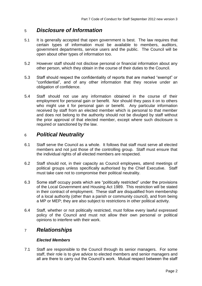### <sup>5</sup> *Disclosure of Information*

- 5.1 It is generally accepted that open government is best. The law requires that certain types of information must be available to members, auditors, government departments, service users and the public. The Council will be open about other types of information too.
- 5.2 However staff should not disclose personal or financial information about any other person, which they obtain in the course of their duties to the Council.
- 5.3 Staff should respect the confidentiality of reports that are marked "exempt" or "confidential", and of any other information that they receive under an obligation of confidence.
- 5.4 Staff should not use any information obtained in the course of their employment for personal gain or benefit. Nor should they pass it on to others who might use it for personal gain or benefit. Any particular information received by staff from an elected member which is personal to that member and does not belong to the authority should not be divulged by staff without the prior approval of that elected member, except where such disclosure is required or sanctioned by the law.

# <sup>6</sup> *Political Neutrality*

- 6.1 Staff serve the Council as a whole. It follows that staff must serve all elected members and not just those of the controlling group. Staff must ensure that the individual rights of all elected members are respected.
- 6.2 Staff should not, in their capacity as Council employees, attend meetings of political groups unless specifically authorised by the Chief Executive. Staff must take care not to compromise their political neutrality.
- 6.3 Some staff occupy posts which are "politically restricted" under the provisions of the Local Government and Housing Act 1989. This restriction will be stated in their contract of employment. These staff are disqualified from membership of a local authority (other than a parish or community council), and from being a MP or MEP; they are also subject to restrictions in other political activity.
- 6.4 Staff, whether or not politically restricted, must follow every lawful expressed policy of the Council and must not allow their own personal or political opinions to interfere with their work.

### <sup>7</sup> *Relationships*

#### *Elected Members*

7.1 Staff are responsible to the Council through its senior managers. For some staff, their role is to give advice to elected members and senior managers and all are there to carry out the Council's work. Mutual respect between the staff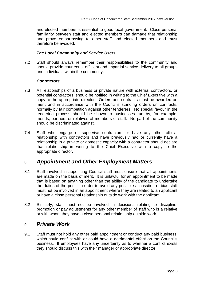and elected members is essential to good local government. Close personal familiarity between staff and elected members can damage that relationship and prove embarrassing to other staff and elected members and must therefore be avoided.

#### *The Local Community and Service Users*

7.2 Staff should always remember their responsibilities to the community and should provide courteous, efficient and impartial service delivery to all groups and individuals within the community.

#### *Contractors*

- 7.3 All relationships of a business or private nature with external contractors, or potential contractors, should be notified in writing to the Chief Executive with a copy to the appropriate director. Orders and contracts must be awarded on merit and in accordance with the Council's standing orders on contracts, normally by fair competition against other tenderers. No special favour in the tendering process should be shown to businesses run by, for example, friends, partners or relatives of members of staff. No part of the community should be discriminated against.
- 7.4 Staff who engage or supervise contractors or have any other official relationship with contractors and have previously had or currently have a relationship in a private or domestic capacity with a contractor should declare that relationship in writing to the Chief Executive with a copy to the appropriate director.

#### <sup>8</sup> *Appointment and Other Employment Matters*

- 8.1 Staff involved in appointing Council staff must ensure that all appointments are made on the basis of merit. It is unlawful for an appointment to be made that is based on anything other than the ability of the candidate to undertake the duties of the post. In order to avoid any possible accusation of bias staff must not be involved in an appointment where they are related to an applicant or have a close personal relationship outside work with the applicant.
- 8.2 Similarly, staff must not be involved in decisions relating to discipline, promotion or pay adjustments for any other member of staff who is a relative or with whom they have a close personal relationship outside work.

#### <sup>9</sup> *Private Work*

9.1 Staff must not hold any other paid appointment or conduct any paid business, which could conflict with or could have a detrimental effect on the Council's business. If employees have any uncertainty as to whether a conflict exists they should discuss this with their manager or appropriate director.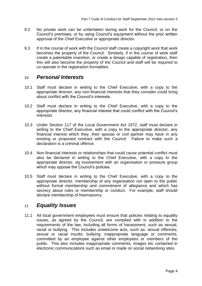- 9.2 No private work can be undertaken during work for the Council, or on the Council's premises, or by using Council's equipment without the prior written approval of the Chief Executive or appropriate director.
- 9.3 If in the course of work with the Council staff create a copyright work that work becomes the property of the Council. Similarly, if in the course of work staff create a patentable invention, or create a design capable of registration, then this will also become the property of the Council and staff will be required to co-operate in the registration formalities.

#### <sup>10</sup> *Personal Interests*

- 10.1 Staff must declare in writing to the Chief Executive, with a copy to the appropriate director, any non-financial interests that they consider could bring about conflict with the Council's interests.
- 10.2 Staff must declare in writing to the Chief Executive, with a copy to the appropriate director, any financial interest that could conflict with the Council's interests.
- 10.3 Under Section 117 of the Local Government Act 1972, staff must declare in writing to the Chief Executive, with a copy to the appropriate director, any financial interest which they, their spouse or civil partner may have in any existing or proposed contract with the Council. Failure to make such a declaration is a criminal offence.
- 10.4 Non-financial interests or relationships that could cause potential conflict must also be declared in writing to the Chief Executive, with a copy to the appropriate director, eg involvement with an organisation or pressure group which may oppose the Council's policies.
- 10.5 Staff must declare in writing to the Chief Executive, with a copy to the appropriate director, membership of any organisation not open to the public without formal membership and commitment of allegiance and which has secrecy about rules or membership or conduct. For example, staff should declare membership of freemasonry.

### <sup>11</sup> *Equality Issues*

11.1 All local government employees must ensure that policies relating to equality issues, as agreed by the Council, are complied with in addition to the requirements of the law, including all forms of harassment, such as sexual, racial or bullying. This includes unwelcome acts, such as: sexual offences; sexual or racial insults; bullying; inappropriate language or comments; committed by an employee against other employees or members of the public. This also includes inappropriate comments, images etc contained in electronic communications such as email or made on social networking sites.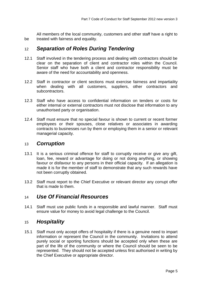All members of the local community, customers and other staff have a right to be treated with fairness and equality.

#### <sup>12</sup> *Separation of Roles During Tendering*

- 12.1 Staff involved in the tendering process and dealing with contractors should be clear on the separation of client and contractor roles within the Council. Senior staff who have both a client and contractor responsibility must be aware of the need for accountability and openness.
- 12.2 Staff in contractor or client sections must exercise fairness and impartiality when dealing with all customers, suppliers, other contractors and subcontractors.
- 12.3 Staff who have access to confidential information on tenders or costs for either internal or external contractors must not disclose that information to any unauthorised party or organisation.
- 12.4 Staff must ensure that no special favour is shown to current or recent former employees or their spouses, close relatives or associates in awarding contracts to businesses run by them or employing them in a senior or relevant managerial capacity.

#### <sup>13</sup> *Corruption*

- 13.1 It is a serious criminal offence for staff to corruptly receive or give any gift, loan, fee, reward or advantage for doing or not doing anything, or showing favour or disfavour to any persons in their official capacity. If an allegation is made it is for the member of staff to demonstrate that any such rewards have not been corruptly obtained.
- 13.2 Staff must report to the Chief Executive or relevant director any corrupt offer that is made to them.

### <sup>14</sup> *Use Of Financial Resources*

14.1 Staff must use public funds in a responsible and lawful manner. Staff must ensure value for money to avoid legal challenge to the Council.

### <sup>15</sup> *Hospitality*

15.1 Staff must only accept offers of hospitality if there is a genuine need to impart information or represent the Council in the community. Invitations to attend purely social or sporting functions should be accepted only when these are part of the life of the community or where the Council should be seen to be represented. They should not be accepted unless first authorised in writing by the Chief Executive or appropriate director.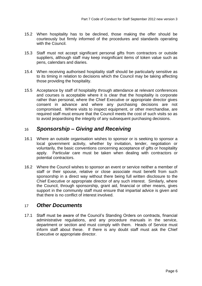- 15.2 When hospitality has to be declined, those making the offer should be courteously but firmly informed of the procedures and standards operating with the Council.
- 15.3 Staff must not accept significant personal gifts from contractors or outside suppliers, although staff may keep insignificant items of token value such as pens, calendars and diaries.
- 15.4 When receiving authorised hospitality staff should be particularly sensitive as to its timing in relation to decisions which the Council may be taking affecting those providing the hospitality.
- 15.5 Acceptance by staff of hospitality through attendance at relevant conferences and courses is acceptable where it is clear that the hospitality is corporate rather than personal, where the Chief Executive or appropriate director gives consent in advance and where any purchasing decisions are not compromised. Where visits to inspect equipment, or other merchandise, are required staff must ensure that the Council meets the cost of such visits so as to avoid jeopardising the integrity of any subsequent purchasing decisions.

# <sup>16</sup> *Sponsorship – Giving and Receiving*

- 16.1 Where an outside organisation wishes to sponsor or is seeking to sponsor a local government activity, whether by invitation, tender, negotiation or voluntarily, the basic conventions concerning acceptance of gifts or hospitality apply. Particular care must be taken when dealing with contractors or potential contractors.
- 16.2 Where the Council wishes to sponsor an event or service neither a member of staff or their spouse, relative or close associate must benefit from such sponsorship in a direct way without there being full written disclosure to the Chief Executive or appropriate director of any such interest. Similarly, where the Council, through sponsorship, grant aid, financial or other means, gives support in the community staff must ensure that impartial advice is given and that there is no conflict of interest involved.

#### <sup>17</sup> *Other Documents*

17.1 Staff must be aware of the Council's Standing Orders on contracts, financial administrative regulations, and any procedure manuals in the service, department or section and must comply with them. Heads of Service must inform staff about these. If there is any doubt staff must ask the Chief Executive or appropriate director.